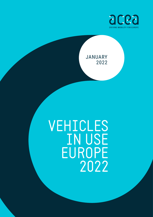

## JANUARY 2022

# VEHICLES IN USE EUROPE 2022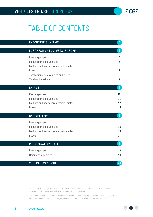# TABLE OF CONTENTS

| <b>EXECUTIVE SUMMARY</b>             | $\overline{3}$ |
|--------------------------------------|----------------|
| EUROPEAN UNION, EFTA, EUROPE         |                |
| Passenger cars                       | 4              |
| Light commercial vehicles            | 5.             |
| Medium and heavy commercial vehicles | 6              |
| <b>Buses</b>                         | 7              |
| Total commercial vehicles and buses  | 8              |
| <b>Total motor vehicles</b>          | 9              |
| <b>BY AGE</b>                        |                |
| Passenger cars                       | 10             |
| Light commercial vehicles            | 11             |
| Medium and heavy commercial vehicles | 12             |
| <b>Buses</b>                         | 13             |
| <b>BY FUEL TYPE</b>                  |                |
| Passenger cars                       | 14             |
| Light commercial vehicles            | 15             |
| Medium and heavy commercial vehicles | 16             |
| <b>Buses</b>                         | 17             |
| <b>MOTORISATION RATES</b>            |                |
| Passenger cars                       | 18             |
| <b>Commercial vehicles</b>           | 19             |
| <b>VEHICLE OWNERSHIP</b>             | 20             |

Data source: the European Automobile Manufacturers' Association (ACEA), based on aggregated data provided by the national automobile associations and IHS MARKIT.

© Reproduction of the content of this document is not permitted without the prior written consent of ACEA. Whenever reproduction is permitted, ACEA shall be referred to as source of the information.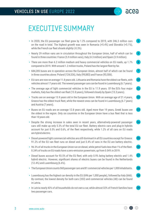

**[18](#page-17-0)**

 $\bigcap$ 

# <span id="page-2-0"></span>EXECUTIVE SUMMARY

- In 2020, the EU passenger car fleet grew by 1.2% compared to 2019, with 246.3 million cars on the road in total. The highest growth was seen in Romania  $(+5.4%)$  and Slovakia  $(+5.1%)$ . while the French car fleet shrank slightly (-0.3%). **[4](#page-3-0)**
- Nearly 29 million vans are in circulation throughout the European Union, half of which can be found in three countries: France (5.9 million vans), Italy (4.3 million) and Spain (3.9 million). **[5](#page-4-0)**
- There are more than 6.2 million medium and heavy commercial vehicles on EU roads, up 1.7% compared to 2019. With around 1.2 million trucks, Poland has the largest fleet by far. **[6](#page-5-0)**
- 684,285 buses are in operation across the European Union, almost half of which can be found in three countries alone: Poland (124,526), Italy (99,883) and France (93,506). **[7](#page-6-0)**
- EU cars are now on average 11.8 years old. Lithuania and Romania have the oldest car fleets, with vehicles almost 17 years old. The newest passenger cars can be found in Luxembourg (6.7 years). **[10](#page-9-0)**
- The average age of light commercial vehicles in the EU is 11.9 years. Of the EU's four major markets, Italy has the oldest van fleet (13.8 years), followed closely by Spain (13.3 years). **[11](#page-10-0)**
- Trucks are on average 13.9 years old in the European Union. With an average age of 21.4 years, Greece has the oldest truck fleet, while the newest ones can be found in Luxembourg (6.7 years) and Austria (7 years). **[12](#page-11-0)**
- Buses on EU roads are on average 12.8 years old. Aged more than 19 years, Greek buses are the oldest in the region. Only six countries in the European Union have a bus fleet that is less than 10 years old. **[13](#page-12-0)**
- Despite the strong increase in sales seen in recent years, alternatively-powered passenger cars still make up only 5.3% of the total EU car fleet. Battery electric cars and plug-in hybrids account for just 0.5% and 0.6%, of the fleet respectively, while 1.2% of all cars on EU roads are hybrid electric. **[14](#page-13-0)**
- Diesel-powered light commercial vehicles are still dominant in all EU countries except for Greece: 91.2% of the EU van fleet runs on diesel and just 0.4% of vans in the EU are battery electric. **[15](#page-14-0)**
- 96.3% of all trucks in the European Union run on diesel, while petrol fuels less than 1% of the fleet. 0.24% of trucks on EU roads have a zero-emission powertrain, up from 0.04% in 2019. **[16](#page-15-0)**
- Diesel buses account for 93.5% of the EU fleet, with only 0.9% being battery electric and 1.4% hybrid electric. However, significant shares of electric buses can be found in the Netherlands (12.4%) and Luxembourg (6.6%). **[17](#page-16-0)**
- The European Union counts 560 passenger cars and 81 commercial vehicles per 1,000 inhabitants. **[18](#page-17-0)**
- Luxembourg has the highest car density in the EU (696 per 1,000 people), followed by Italy (666). By contrast, the lowest density for both cars (353) and commercial vehicles (40) can be found in Latvia.
- In Latvia nearly 43% of all households do not own a car, while almost 32% of French families have two passenger cars. **[20](#page-19-0)**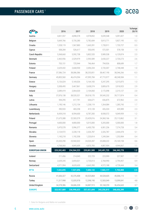

 $\bullet$  $\bullet$ 

 $\qquad \qquad \rightarrow$ 

<span id="page-3-0"></span>

|                       | 2016        | 2017        | 2018        | 2019        | 2020        | %change<br>20/19 |
|-----------------------|-------------|-------------|-------------|-------------|-------------|------------------|
| Austria               | 4,821,557   | 4,898,578   | 4,978,852   | 5,039,548   | 5,091,827   | 1.0              |
| Belgium               | 5,669,766   | 5,735,280   | 5,782,684   | 5,813,771   | 5,827,195   | 0.2              |
| Croatia               | 1,528,119   | 1,567,883   | 1,665,391   | 1,728,911   | 1,733,727   | 0.3              |
| Cyprus                | 508,284     | 526,617     | 550,695     | 572,501     | 578,158     | 1.0              |
| Czech Republic        | 5,368,660   | 5,592,738   | 5,802,520   | 5,989,538   | 6,129,874   | 2.3              |
| Denmark               | 2,465,956   | 2,529,979   | 2,593,589   | 2,650,227   | 2,720,273   | 2.6              |
| Estonia               | 703,151     | 725,944     | 746,464     | 794,926     | 808,689     | 1.7              |
| Finland               | 2,629,432   | 2,668,930   | 2,696,334   | 2,720,307   | 2,748,448   | 1.0              |
| France                | 37,586,724  | 38,086,586  | 38,253,851  | 38,467,190  | 38,346,266  | $-0.3$           |
| Germany               | 45,803,560  | 46,474,594  | 47,095,784  | 47,715,977  | 48,248,584  | 1.1              |
| Greece                | 5,126,024   | 5,169,026   | 5,164,183   | 5,247,295   | 5,315,875   | 1.3              |
| Hungary               | 3,308,495   | 3,467,861   | 3,638,374   | 3,809,670   | 3,918,923   | 2.9              |
| Ireland               | 2,089,419   | 2,064,020   | 2,104,060   | 2,172,098   | 2,215,127   | 2.0              |
| Italy                 | 37,876,138  | 38,520,321  | 39,018,170  | 39,545,232  | 39,717,874  | 0.4              |
| Latvia                | 594,295     | 617,791     | 636,671     | 656,875     | 672,962     | 2.4              |
| Lithuania             | 1,190,146   | 1,212,154   | 1,238,119   | 1,264,084   | 1,285,743   | 1.7              |
| Luxembourg            | 390,933     | 403,258     | 415,128     | 426,324     | 435,989     | 2.3              |
| Netherlands           | 8,439,318   | 8,594,600   | 8,787,283   | 8,938,572   | 9,049,959   | 1.2              |
| Poland                | 21,675,388  | 22,503,579  | 23,429,016  | 24,360,166  | 25,113,862  | 3.1              |
| Portugal              | 4,600,000   | 4,800,000   | 5,015,000   | 5,205,000   | 5,300,000   | 1.8              |
| Romania               | 5,470,578   | 5,996,377   | 6,450,750   | 6,901,236   | 7,274,728   | 5.4              |
| Slovakia              | 2,124,972   | 2,228,118   | 2,326,787   | 2,326,787   | 2,444,478   | 5.1              |
| Slovenia              | 1,143,218   | 1,192,358   | 1,220,814   | 1,249,364   | 1,253,984   | 0.4              |
| Spain                 | 23,320,290  | 23,942,022  | 24,520,287  | 25,008,222  | 25,169,158  | 0.6              |
| Sweden                | 4,768,060   | 4,845,609   | 4,870,783   | 4,887,904   | 4,944,067   | 1.1              |
| <b>EUROPEAN UNION</b> | 229,202,483 | 234,364,223 | 239,001,589 | 243,491,725 | 246,345,770 | $1.2$            |
| Iceland               | 211,456     | 214,045     | 222,729     | 223,999     | 227,907     | 1.7              |
| Norway                | 2,639,245   | 2,693,021   | 2,720,013   | 2,768,990   | 2,794,457   | 0.9              |
| Switzerland           | 4,571,994   | 4,620,630   | 4,665,390   | 4,572,188   | 4,728,444   | 3.4              |
| <b>EFTA</b>           | 7,422,695   | 7,527,696   | 7,608,132   | 7,565,177   | 7,750,808   | 2.5              |
| Russia                | 41,606,327  | 42,376,408  | 43,525,868  | 44,528,605  | 45,006,115  | 1.1              |
| Turkey                | 11,317,998  | 12,035,978  | 12,398,190  | 12,503,049  | 13,099,041  | 4.8              |
| <b>United Kingdom</b> | 34,378,386  | 34,686,328  | 34,887,915  | 35,168,259  | 36,454,665  | 3.7              |
| <b>EUROPE</b>         | 323,927,889 | 330,990,633 | 337,421,694 | 343,256,815 | 348,656,399 | 1.6              |

1. Data for Bulgaria and Malta not available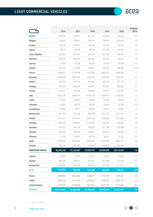

 $\Theta$  $\Theta$ 

 $\qquad \qquad \rightarrow$ 

<span id="page-4-0"></span>

|                       | 2016        | 2017       | 2018       | 2019       | 2020       | %change<br>20/19 |
|-----------------------|-------------|------------|------------|------------|------------|------------------|
| Austria               | 387,786     | 403,987    | 422,745    | 440,582    | 458,253    | 4.0              |
| Belgium               | 709,653     | 740,801    | 769,679    | 798,942    | 829,416    | 3.8              |
| Croatia               | 110,940     | 118,817    | 135,054    | 145,750    | 152,923    | 4.9              |
| Cyprus                | 94,673      | 95,705     | 98,533     | 101,528    | 102,951    | 1.4              |
| Czech Republic        | 547,038     | 561,265    | 574,722    | 587,186    | 596,481    | 1.6              |
| Denmark               | 397,078     | 395,524    | 389,339    | 379,993    | 376,235    | $-1.0$           |
| Estonia               | 71,436      | 77,108     | 83,307     | 91,266     | 95,246     | 4.4              |
| Finland               | 311,376     | 319,460    | 325,656    | 330,671    | 338,389    | 2.3              |
| France                | 5,998,821   | 6,156,358  | 6,197,838  | 6,005,017  | 5,904,396  | $-1.7$           |
| Germany               | 2,485,288   | 2,605,702  | 2,724,783  | 2,856,676  | 2,999,416  | 5.0              |
| Greece                | 858,287     | 871,733    | 889,638    | 906,798    | 921,776    | 1.7              |
| Hungary               | 406,202     | 425,246    | 446,647    | 470,454    | 485,582    | 3.2              |
| Ireland               | 315,671     | 373,603    | 380,883    | 395,379    | 397,702    | 0.6              |
| Italy                 | 4,002,578   | 4,082,516  | 4,145,176  | 4,209,037  | 4,260,610  | 1.2              |
| Latvia                | 47.487      | 49,297     | 50,835     | 52,970     | 50,500     | $-4.7$           |
| Lithuania             | 47,583      | 48,578     | 49,576     | 50,628     | 52,799     | 4.3              |
| Luxembourg            | 32,886      | 34,841     | 36,603     | 38,547     | 39,006     | 1.2              |
| Netherlands           | 927,165     | 957,225    | 995,784    | 1,021,213  | 1,031,010  | 1.0              |
| Poland                | 2,515,751   | 2,574,312  | 2,649,198  | 2,733,004  | 2,814,490  | 3.0              |
| Portugal              | 1,090,000   | 1,100,000  | 1,120,000  | 1,135,000  | 1,140,000  | 0.4              |
| Romania               | 679,501     | 720,147    | 758,037    | 811,286    | 850,998    | 4.9              |
| Slovakia              | 242,539     | 250,732    | 259,629    | 263,913    | 268,000    | 1.5              |
| Slovenia              | 73,103      | 78,682     | 83,718     | 88,361     | 91,331     | 3.4              |
| Spain                 | 3,406,556   | 3,529,695  | 3,665,518  | 3,786,558  | 3,862,157  | 2.0              |
| Sweden                | 534,748     | 555,363    | 572,075    | 585,091    | 595,580    | 1.8              |
| <b>EUROPEAN UNION</b> | 26,294,146  | 27,126,697 | 27,824,973 | 28,285,850 | 28,715,247 | 1.5              |
| Iceland               | 20,583      | 21,427     | 22,371     | 22,995     | 24,060     | 4.6              |
| Norway                | 495.434     | 504,527    | 509,361    | 521,949    | 517,550    | $-0.8$           |
| Switzerland           | 357,448     | 369,299    | 383,918    | 391,490    | 417,517    | 6.6              |
| <b>EFTA</b>           | 873,465     | 895,253    | 915,650    | 936,434    | 959,127    | 2.4              |
| Russia                | 3,989,430   | 4,062,864  | 4,108,271  | 4,165,269  | 4,189,037  | 0.6              |
| Turkey                | 3,906,416   | 4,121,243  | 4,243,107  | 4,290,292  | 4,432,127  | 3.3              |
| <b>United Kingdom</b> | 4,178,733   | 4,299,828  | 4,407,561  | 4,527,724  | 5,141,909  | 13.6             |
| <b>EUROPE</b>         | 323,927,889 | 40,505,885 | 41,499,562 | 42,205,569 | 43,437,447 | 2.9              |

2. Up to 3.5 tonnes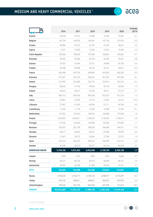## <span id="page-5-0"></span>**MEDIUM AND HEAVY COMMERCIAL VEHICLES** <sup>3</sup>



 $\Theta$  $\Theta$ 

 $\qquad \qquad \rightarrow$ 

|                       | 2016        | 2017       | 2018       | 2019       | 2020       | %change<br>20/19 |
|-----------------------|-------------|------------|------------|------------|------------|------------------|
| Austria               | 69,428      | 70,791     | 72,486     | 73,336     | 73,381     | 0.1              |
| Belgium               | 142,744     | 144,293    | 146,081    | 147,756    | 147,016    | $-0.5$           |
| Croatia               | 43,806      | 45,210     | 45,720     | 47,536     | 48,621     | 2.3              |
| Cyprus                | 11,631      | 12,040     | 12,509     | 13,016     | 13,329     | 2.4              |
| Czech Republic        | 183,560     | 186,004    | 187,483    | 186,881    | 185,602    | $-0.7$           |
| Denmark               | 42,055      | 42,480     | 42,744     | 42,582     | 42,261     | $-0.8$           |
| Estonia               | 36,781      | 37,644     | 37,911     | 39,848     | 40,106     | 0.6              |
| Finland               | 94,780      | 95,948     | 96,169     | 95,141     | 94,691     | $-0.5$           |
| France                | 585,498     | 592,199    | 599,854    | 603,023    | 600,283    | $-0.5$           |
| Germany               | 917,627     | 932,755    | 946,541    | 951,481    | 952,285    | 0.1              |
| Greece                | 227,990     | 223,680    | 229,776    | 226,913    | 225,216    | $-0.7$           |
| Hungary               | 88,592      | 91,760     | 94,966     | 96,109     | 94,306     | $-1.9$           |
| Ireland               | 46,423      | 46,677     | 47,259     | 48,311     | 47,273     | $-2.1$           |
| Italy                 | 885,513     | 895,978    | 905,338    | 910,337    | 921,314    | 1.2              |
| Latvia                | 26,981      | 27,905     | 27,710     | 27,852     | 22,513     | $-19.2$          |
| Lithuania             | 57,901      | 61,465     | 65,996     | 67,111     | 69,780     | 4.0              |
| Luxembourg            | 11,633      | 11,778     | 12,055     | 12,300     | 13,784     | 12.1             |
| Netherlands           | 151,952     | 154,262    | 158,410    | 160,608    | 157,638    | $-1.8$           |
| Poland                | 1,025,585   | 1,064,671  | 1,108,975  | 1,150,493  | 1,184,677  | 3.0              |
| Portugal              | 119,700     | 125,600    | 130,000    | 132,500    | 134,000    | 1.1              |
| Romania               | 255,297     | 281,708    | 288,309    | 296,489    | 346,911    | 17.0             |
| Slovakia              | 85,277      | 85,654     | 85,241     | 81,083     | 78,959     | $-2.6$           |
| Slovenia              | 31,667      | 33,572     | 35,864     | 37,285     | 37,674     | 1.0              |
| Spain                 | 570,315     | 584,733    | 590,674    | 596,599    | 614,147    | 2.9              |
| Sweden                | 81,430      | 83,025     | 83,977     | 84,153     | 84,333     | 0.2              |
| <b>EUROPEAN UNION</b> | 5,794,166   | 5,931,832  | 6,052,048  | 6,128,743  | 6,230,100  | 1.7              |
| Iceland               | 7,095       | 7,416      | 7,843      | 7,954      | 8,485      | 6.7              |
| Norway                | 86,757      | 86,154     | 85,474     | 86,069     | 88,141     | 2.4              |
| Switzerland           | 58,507      | 60,438     | 61,989     | 59,634     | 61,231     | 2.7              |
| <b>EFTA</b>           | 152,359     | 154,008    | 155,306    | 153,657    | 157,857    | 2.7              |
| Russia                | 3,703,635   | 3,733,711  | 3,759,152  | 3,780,977  | 3,773,297  | $-0.2$           |
| Turkey                | 876,152     | 898,817    | 908,821    | 909,951    | 929,979    | 2.2              |
| <b>United Kingdom</b> | 595,542     | 602,799    | 605,393    | 607,998    | 727,913    | 19.7             |
| <b>EUROPE</b>         | 323,927,889 | 11,321,167 | 11,480,720 | 11,581,326 | 11,819,146 | 2.1              |

3. Over 3.5 tonnes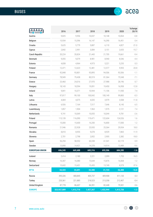

<span id="page-6-0"></span>

|                       | 2016        | 2017      | 2018      | 2019      | 2020      | %change<br>20/19 |
|-----------------------|-------------|-----------|-----------|-----------|-----------|------------------|
| Austria               | 9,825       | 9,956     | 10,037    | 10,148    | 10,064    | $-0.8$           |
| Belgium               | 15,934      | 15,596    | 16,147    | 16,390    | 16,451    | 0.4              |
| Croatia               | 5,625       | 5,779     | 5,887     | 6,110     | 4,827     | $-21.0$          |
| Cyprus                | 2,842       | 2,991     | 3,084     | 3,151     | 2,655     | $-15.7$          |
| Czech Republic        | 20,224      | 20,824    | 21,443    | 21,705    | 19,661    | $-9.4$           |
| Denmark               | 9,055       | 9.079     | 8,981     | 8,940     | 8,546     | $-4.4$           |
| Estonia               | 4,838       | 4,964     | 4,973     | 5,221     | 5,235     | 0.3              |
| Finland               | 12,471      | 12,623    | 12,481    | 12,577    | 9,955     | $-20.8$          |
| France                | 92,848      | 93,801    | 93,895    | 94,506    | 93,506    | $-1.1$           |
| Germany               | 78,949      | 79,438    | 80,519    | 81,364    | 75,548    | $-7.1$           |
| Greece                | 23,460      | 24,016    | 27,970    | 27,988    | 28,196    | 0.7              |
| Hungary               | 18,143      | 18,594    | 19,091    | 19,450    | 16,958    | $-12.8$          |
| Ireland               | 9,841       | 10,371    | 10,944    | 11,106    | 11,930    | 7.4              |
| Italy                 | 97,817      | 99,100    | 100,042   | 100,149   | 99,883    | $-0.3$           |
| Latvia                | 4,069       | 4,075     | 4,035     | 3,979     | 3,508     | $-11.8$          |
| Lithuania             | 6,926       | 7,164     | 7,517     | 7,646     | 8,145     | 6.5              |
| Luxembourg            | 1,857       | 1,904     | 1,963     | 1,975     | 2,121     | 7.4              |
| Netherlands           | 9,741       | 10,069    | 10,055    | 10,044    | 9,781     | $-2.6$           |
| Poland                | 113,139     | 116,090   | 119,471   | 122,604   | 124,526   | 1.6              |
| Portugal              | 15,000      | 15,600    | 16,200    | 16,800    | 17,000    | 1.2              |
| Romania               | 21,946      | 22,928    | 23,935    | 25,364    | 29,934    | 18.0             |
| Slovakia              | 8,810       | 8,955     | 9,078     | 8,929     | 7,865     | $-11.9$          |
| Slovenia              | 2,701       | 2,798     | 2,852     | 2,905     | 2,382     | $-18.0$          |
| Spain                 | 56,294      | 58,552    | 60,338    | 61,541    | 62,119    | $0.9$            |
| Sweden                | 13,890      | 14,421    | 14,378    | 14,914    | 13,489    | $-9.6$           |
| <b>EUROPEAN UNION</b> | 656,245     | 669,688   | 685,316   | 695,506   | 684,285   | $-1.6$           |
| Iceland               | 2,414       | 2,180     | 2,221     | 2,099     | 1,753     | $-16.5$          |
| Norway                | 16,307      | 16,080    | 15,644    | 15,876    | 16,068    | 1.2              |
| Switzerland           | 15,602      | 15,431    | 15,435    | 13,749    | 8,579     | $-37.6$          |
| <b>EFTA</b>           | 34,323      | 33,691    | 33,300    | 31,724    | 26,400    | $-16.8$          |
| Russia                | 395,326     | 400,845   | 405,737   | 409,908   | 411,133   | 0.3              |
| Turkey                | 220,361     | 221,885   | 218,523   | 213,358   | 212,407   | $-0.4$           |
| <b>United Kingdom</b> | 87,778      | 86,607    | 84,391    | 82,448    | 79,501    | $-3.6$           |
| <b>EUROPE</b>         | 323,927,889 | 1,412,716 | 1,427,267 | 1,432,944 | 1,413,726 | $-1.3$           |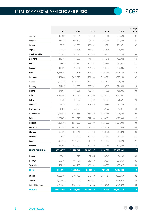#### <span id="page-7-0"></span>**TOTAL COMMERCIAL VEHICLES AND BUSES**



 $\Theta$  $\Theta$ 

 $\left(\rightarrow\right)$ 

|                       | 2016        | 2017       | 2018       | 2019       | 2020       | %change<br>20/19 |
|-----------------------|-------------|------------|------------|------------|------------|------------------|
| Austria               | 467,039     | 484,734    | 505,268    | 524,066    | 541,698    | 3.4              |
| Belgium               | 868,331     | 900,690    | 931,907    | 963,088    | 992,883    | 3.1              |
| Croatia               | 160,371     | 169,806    | 186,661    | 199,396    | 206,371    | 3.5              |
| Cyprus                | 109,146     | 110,736    | 114,126    | 117,695    | 118,935    | 1.1              |
| Czech Republic        | 750,822     | 768,093    | 783,648    | 795,772    | 801,744    | 0.8              |
| Denmark               | 448,188     | 447,083    | 441,064    | 431,515    | 427,042    | $-1.0$           |
| Estonia               | 113,055     | 119,716    | 126,191    | 136,335    | 140,587    | 3.1              |
| Finland               | 418,627     | 428,031    | 434,306    | 438,389    | 443,035    | 1.1              |
| France                | 6,677,167   | 6,842,358  | 6,891,587  | 6,702,546  | 6,598,184  | $-1.6$           |
| Germany               | 3,481,864   | 3,617,895  | 3,751,843  | 3,889,521  | 4,027,249  | 3.5              |
| Greece                | 1,109,737   | 1,119,429  | 1,147,384  | 1,161,699  | 1,175,188  | 1.2              |
| Hungary               | 512,937     | 535,600    | 560,704    | 586,013    | 596,846    | 1.8              |
| Ireland               | 371,935     | 430,651    | 439,086    | 454,796    | 456,905    | 0.5              |
| Italy                 | 4,985,908   | 5,077,594  | 5,150,556  | 5,219,523  | 5,281,807  | 1.2              |
| Latvia                | 78,537      | 81,277     | 82,580     | 84,801     | 76,521     | $-9.8$           |
| Lithuania             | 112,410     | 117,207    | 123,089    | 125,385    | 130,724    | 4.3              |
| Luxembourg            | 46,376      | 48,523     | 50,621     | 52,822     | 54,911     | 4.0              |
| Netherlands           | 1,088,858   | 1,121,556  | 1,164,249  | 1,191,865  | 1,198,429  | 0.6              |
| Poland                | 3,654,475   | 3,755,073  | 3,877,644  | 4,006,101  | 4,123,693  | 2.9              |
| Portugal              | 1,224,700   | 1,241,200  | 1,266,200  | 1,284,300  | 1,291,000  | 0.5              |
| Romania               | 956.744     | 1,024,783  | 1,070,281  | 1,133,139  | 1,227,843  | 8.4              |
| Slovakia              | 336,626     | 345,341    | 353,948    | 353,925    | 354,824    | 0.3              |
| Slovenia              | 107,471     | 115,052    | 122,434    | 128,551    | 131,387    | 2.2              |
| Spain                 | 4,033,165   | 4,172,980  | 4,316,530  | 4,444,698  | 4,538,423  | 2.1              |
| Sweden                | 630,068     | 652,809    | 670,430    | 684,158    | 693,402    | 1.4              |
| <b>EUROPEAN UNION</b> | 32,744,557  | 33,728,217 | 34,562,337 | 35,110,099 | 35,629,631 | 1.5              |
| Iceland               | 30,092      | 31,023     | 32,435     | 33,048     | 34,298     | $3.8\,$          |
| Norway                | 598,498     | 606,761    | 610,479    | 623,894    | 621,759    | $-0.3$           |
| Switzerland           | 431,557     | 445,168    | 461,342    | 464,873    | 487,327    | 4.8              |
| <b>EFTA</b>           | 1,060,147   | 1,082,952  | 1,104,256  | 1,121,815  | 1,143,384  | 1.9              |
| Russia                | 8,088,391   | 8,197,420  | 8,273,160  | 8,356,154  | 8,373,467  | 0.2              |
| Turkey                | 5,002,929   | 5,241,945  | 5,370,451  | 5,413,601  | 5,574,513  | 3.0              |
| <b>United Kingdom</b> | 4,862,053   | 4,989,234  | 5,097,345  | 5,218,170  | 5,949,323  | 14.0             |
| <b>EUROPE</b>         | 323,927,889 | 53,239,768 | 54,407,549 | 55,219,839 | 56,670,318 | 2.6              |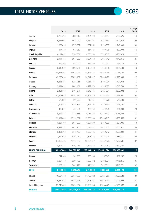

 $\Theta$  $\Theta$ 

 $\left(\rightarrow\right)$ 

<span id="page-8-0"></span>

|                       | 2016        | 2017        | 2018        | 2019        | 2020        | %change<br>20/19 |
|-----------------------|-------------|-------------|-------------|-------------|-------------|------------------|
| Austria               | 5,288,596   | 5,383,312   | 5,484,120   | 5,563,614   | 5,633,525   | 1.3              |
| <b>Belgium</b>        | 6,538,097   | 6,635,970   | 6,714,591   | 6,776,859   | 6,820,078   | 0.6              |
| Croatia               | 1,688,490   | 1,737,689   | 1,852,052   | 1,928,307   | 1,940,098   | 0.6              |
| Cyprus                | 617,430     | 637,353     | 664,821     | 690,196     | 697,093     | 1.0              |
| Czech Republic        | 6,119,482   | 6,360,831   | 6,586,168   | 6,785,310   | 6,931,618   | 2.2              |
| Denmark               | 2,914,144   | 2,977,062   | 3,034,653   | 3,081,742   | 3,147,315   | 2.1              |
| Estonia               | 816,206     | 845,660     | 872,655     | 931,261     | 949,276     | 1.9              |
| Finland               | 3,048,059   | 3,096,961   | 3,130,640   | 3,158,696   | 3,191,483   | 1.0              |
| France                | 44,263,891  | 44,928,944  | 45,145,438  | 45,169,736  | 44,944,450  | $-0.5$           |
| Germany               | 49,285,424  | 50,092,489  | 50,847,627  | 51,605,498  | 52,275,833  | 1.3              |
| Greece                | 6,235,761   | 6,288,455   | 6,311,567   | 6,408,994   | 6,491,063   | 1.3              |
| Hungary               | 3,821,432   | 4,003,461   | 4,199,078   | 4,395,683   | 4,515,769   | 2.7              |
| Ireland               | 2,461,354   | 2,494,671   | 2,543,146   | 2,626,894   | 2,672,032   | 1.7              |
| Italy                 | 42,862,046  | 43,597,915  | 44,168,726  | 44,764,755  | 44,999,681  | 0.5              |
| Latvia                | 672,832     | 699,068     | 719,251     | 741,676     | 749,483     | 1.1              |
| Lithuania             | 1,302,556   | 1,329,361   | 1,361,208   | 1,389,469   | 1,416,467   | 1.9              |
| Luxembourg            | 437,309     | 451,781     | 465,749     | 479,146     | 490,900     | 2.5              |
| Netherlands           | 9,528,176   | 9,716,156   | 9,951,532   | 10,130,437  | 10,248,388  | 1.2              |
| Poland                | 25,329,863  | 26,258,652  | 27,306,660  | 28,366,267  | 29,237,555  | 3.1              |
| Portugal              | 5,824,700   | 6,041,200   | 6,281,200   | 6,489,300   | 6,591,000   | 1.6              |
| Romania               | 6,427,322   | 7,021,160   | 7,521,031   | 8,034,375   | 8,502,571   | 5.8              |
| Slovakia              | 2,461,598   | 2,573,459   | 2,680,735   | 2,680,712   | 2,799,302   | 4.4              |
| Slovenia              | 1,250,689   | 1,307,410   | 1,343,248   | 1,377,915   | 1,385,371   | 0.5              |
| Spain                 | 27,353,455  | 28,115,002  | 28,836,817  | 29,452,920  | 29,707,581  | 0.9              |
| Sweden                | 5,398,128   | 5,498,418   | 5,541,213   | 5,572,062   | 5,637,469   | 1.2              |
| <b>EUROPEAN UNION</b> | 261,947,040 | 268,092,440 | 273,563,926 | 278,601,824 | 281,975,401 | $1.2$            |
| Iceland               | 241,548     | 245,068     | 255,164     | 257,047     | 262,205     | 2.0              |
| Norway                | 3,237,743   | 3,299,782   | 3,330,492   | 3,392,884   | 3,416,216   | 0.7              |
| Switzerland           | 5,003,551   | 5,065,798   | 5,126,732   | 5,037,061   | 5,215,771   | 3.5              |
| <b>EFTA</b>           | 8,482,842   | 8,610,648   | 8,712,388   | 8,686,992   | 8,894,192   | 2.4              |
| Russia                | 49,694,718  | 50,573,828  | 51,799,028  | 52,884,759  | 53,379,582  | 0.9              |
| Turkey                | 16,320,927  | 17,277,923  | 17,768,641  | 17,916,650  | 18,673,554  | 4.2              |
| United Kingdom        | 39,240,439  | 39,675,562  | 39,985,260  | 40,386,429  | 42,403,988  | $5.0$            |
| <b>EUROPE</b>         | 323,927,889 | 384,230,401 | 391,829,243 | 398,476,654 | 405,326,717 | 1.7              |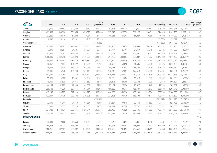#### <span id="page-9-0"></span>**PASSENGER CARS** BY AGE

| P                     | 2020                     | 2019                     | 2018                     | 2017      | 2016<br>$(5$ years) | 2015                     | 2014                     | 2013              | 2012      | 2011<br>$(5-10 \text{ years})$ | >10 years  | Total      | Average age<br>(in years) |
|-----------------------|--------------------------|--------------------------|--------------------------|-----------|---------------------|--------------------------|--------------------------|-------------------|-----------|--------------------------------|------------|------------|---------------------------|
| Austria               | 224,492                  | 300,687                  | 321,548                  | 339,140   | 323,422             | 301,586                  | 288,230                  | 292,300           | 301,443   | 305,134                        | 2,093,845  | 5,091,827  | 8.5                       |
| Belgium               | 405,492                  | 500,390                  | 501,854                  | 478,823   | 429,644             | 357,315                  | 326,776                  | 309,127           | 290,451   | 324,418                        | 1,902,905  | 5,827,195  | 9.2                       |
| Croatia               | 23,282                   | 50,916                   | 51,203                   | 50,084    | 57,118              | 60,356                   | 61,268                   | 56,327            | 59,286    | 74,898                         | 1,160,982  | 1,705,720  | 14.8                      |
| Cyprus                | 9,696                    | 13,116                   | 15,161                   | 19,767    | 23,283              |                          |                          |                   |           | (117, 506)                     | 379,629    | 578,158    | $\overline{\phantom{a}}$  |
| <b>Czech Republic</b> | $\overline{\phantom{a}}$ | $\equiv$                 |                          |           | (1, 118, 433)       | $\overline{\phantom{a}}$ | $\overline{\phantom{a}}$ |                   |           | (973, 659)                     | 4,037,782  | 6,129,874  | 15.3                      |
| Denmark               | 185,423                  | 195,202                  | 193,931                  | 199,083   | 199,662             | 191,953                  | 174,814                  | 168,899           | 156,879   | 143,242                        | 911,185    | 2,720,273  | 8.9                       |
| Estonia               | 17,379                   | 24,264                   | 24,501                   | 25,354    | 25,173              | 24,744                   | 25,197                   | 24,417            | 25,915    | 25,436                         | 566,309    | 808,689    | 16.7                      |
| Finland               | 92,074                   | 114,242                  | 123,330                  | 127,960   | 132,810             | 123,047                  | 117,409                  | 113,890           | 120,152   | 136,586                        | 1,546,948  | 2,748,448  | 12.5                      |
| France                | 2,356,449                | 2,332,290                | 2,271,894                | 2,169,221 | 1,941,730           | 1,794,766                | 1,809,865                | 1,889,387         | 2,141,037 | 2,149,089                      | 17,611,460 | 38,467,190 | 10.3                      |
| Germany               | 2,738,009                | 3,394,682                | 3,281,825                | 3,050,339 | 2,915,728           | 2,732,252                | 2,529,926                | 2,398,187         | 2,439,245 | 2,410,875                      | 20,357,516 | 48,248,584 | 9.8                       |
| Greece                | 80,467                   | 112,684                  | 101,227                  | 85,956    | 76,982              | 73,936                   | 68,698                   | 56,606            | 56,235    | 92,595                         | 4,510,489  | 5,315,875  | 16.6                      |
| Hungary               | 98,802                   | 128,308                  | 117,278                  | 108,066   | 97,925              | 95,031                   | 91,583                   | 88,209            | 96,326    | 101,115                        | 2,896,280  | 3,918,923  | 14.2                      |
| Ireland               | 81,995                   | 115,170                  | 136,790                  | 161,113   | 193,104             | 178,248                  | 152,627                  | 127,618           | 130,880   | 137,381                        | 800,201    | 2,215,127  | 8.6                       |
| Italy                 | 1,481,569                | 2,044,754                | 1,993,189                | 2,020,182 | 1,858,850           | 1,579,376                | 1,335,431                | 1,250,519         | 1,302,675 | 1,603,798                      | 23,247,531 | 39,717,874 | 11.8                      |
| Latvia                | 11,921                   | 16,005                   | 15,081                   | 16,254    | 15,420              | 15,705                   | 16,634                   | 16,418            | 19,593    | 22,562                         | 507,369    | 672,962    | 14.3                      |
| Lithuania             | 18,469                   | 24,520                   | 24,056                   | 24,552    | 26,450              | 28,496                   | 28,008                   | 29,732            | 33,990    | 40,963                         | 1,006,507  | 1,285,743  | 17.0                      |
| Luxembourg            | 44,104                   | 52,227                   | 47,130                   | 41,569    | 34,333              | 27,131                   | 25,626                   | 20,827            | 19,742    | 17,799                         | 105,501    | 435,989    | 6.7                       |
| Netherlands           | 366,138                  | 497,925                  | 507,715                  | 481,914   | 448,942             | 486,352                  | 433,941                  | 455,737           | 522,517   | 566,808                        | 4,281,970  | 9,049,959  | 11.2                      |
| Poland                | 413,245                  | 528,727                  | 519,323                  | 505,923   | 480,367             | 466,073                  | 450,034                  | 455,108           | 510,304   | 600,703                        | 20,184,055 | 25,113,862 | 14.3                      |
| Portugal              | 133,067                  | 223,175                  | 233,392                  | 240,205   | 239,774             | 231,305                  | 196,479                  | 158,108           | 140,511   | 188,304                        | 3,315,680  | 5,300,000  | 13.2                      |
| Romania               | $\overline{\phantom{a}}$ | $\overline{\phantom{a}}$ | $\overline{\phantom{a}}$ |           | (669, 461)          | $\overline{\phantom{a}}$ | $\overline{\phantom{a}}$ | $\qquad \qquad -$ |           | (793, 042)                     | 5,812,225  | 7,274,728  | 16.9                      |
| Slovakia              | 73,496                   | 96,344                   | 94,318                   | 97,254    | 98,869              | 94,237                   | 89,549                   | 83,744            | 90,159    | 97,664                         | 1,527,726  | 2,443,360  | 14.3                      |
| Slovenia              | 33,906                   | 48,003                   | 55,835                   | 65,656    | 69,778              | 69,689                   | 62,560                   | 58,787            | 61,188    | 66,982                         | 661,600    | 1,253,984  | 12.0                      |
| Spain                 | 821,920                  | 1,142,134                | 1,202,336                | 1,126,974 | 1,059,774           | 963,725                  | 796,528                  | 660,435           | 625,558   | 725,489                        | 16,044,285 | 25,169,158 | 13.1                      |
| Sweden                | 206,702                  | 305,907                  | 299,631                  | 311,953   | 330,570             | 301,043                  | 270,039                  | 236,950           | 232,963   | 263,247                        | 2,185,062  | 4,944,067  | 10.2                      |
| <b>EUROPEANUNION</b>  |                          |                          |                          |           |                     |                          |                          |                   |           |                                |            |            | 11.8                      |
| Iceland               | 10,333                   | 12,583                   | 19,660                   | 23,849    | 20,621              | 14,848                   | 10,320                   | 7,835             | 8,318     | 5,181                          | 94,359     | 227,907    | 12.0                      |
| Norway                | 140,693                  | 143,177                  | 154,898                  | 157,772   | 158,886             | 164,263                  | 155,464                  | 156,637           | 154,503   | 155,559                        | 1,252,604  | 2,794,456  | 10.7                      |
| Switzerland           | 156,256                  | 302,951                  | 299,997                  | 310,698   | 311,850             | 318,902                  | 295,320                  | 294,662           | 308,759   | 292,554                        | 1,836,495  | 4,728,444  | $9.0\,$                   |
| <b>United Kingdom</b> | 1,646,250                | 2,276,500                | 2,288,133                | 2,372,755 | 2,539,709           | 2,470,111                | 2,297,801                | 2,084,332         | 1,850,516 | 1,717,777                      | 14,910,781 | 36,454,665 | 9.4                       |

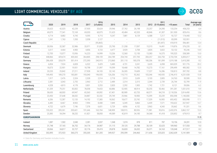### <span id="page-10-0"></span>LIGHT COMMERCIAL VEHICLES<sup>4</sup> BY AGE

|                      | 2020    | 2019    | 2018    | 2017                     | 2016<br>$(5$ years) | 2015                     | 2014     | 2013                     | 2012                     | 2011<br>$(5-10 \text{ years})$ | >10 years | Total     | Average age<br>(in years) |
|----------------------|---------|---------|---------|--------------------------|---------------------|--------------------------|----------|--------------------------|--------------------------|--------------------------------|-----------|-----------|---------------------------|
| Austria              | 35,623  | 42,025  | 42,239  | 37,935                   | 33,624              | 29,946                   | 27,762   | 26,198                   | 25,257                   | 24,390                         | 133,254   | 458,253   | 6.4                       |
| Belgium              | 69,075  | 77,341  | 72,169  | 69,033                   | 60,075              | 51,623                   | 43,484   | 42,533                   | 40,846                   | 41,307                         | 261,930   | 829,416   | 8.6                       |
| Croatia              | 4,714   | 8,882   | 9,745   | 9,595                    | 9,715               | 9,247                    | 7,881    | 8,129                    | 6,588                    | 7,217                          | 92,727    | 174,440   | 12.2                      |
| Cyprus               | 1,341   | 1,763   | 1,550   | 2,058                    | 2,127               | $\overline{\phantom{0}}$ | $\equiv$ | $\overline{\phantom{a}}$ | $\overline{\phantom{m}}$ | (11, 013)                      | 83,099    | 102,951   | $\overline{\phantom{a}}$  |
| Czech Republic       |         | $\sim$  |         | $\overline{\phantom{a}}$ | (95,865)            | ÷                        | $\equiv$ |                          |                          | (81,697)                       | 418,919   | 596,481   | 13.4                      |
| Denmark              | 30,936  | 32,587  | 32,986  | 33,971                   | 31,828              | 25,790                   | 21,358   | 17,097                   | 15,315                   | 14,491                         | 119,876   | 376,235   | 8.1                       |
| Estonia              | 3,317   | 4,464   | 4,983   | 4,856                    | 4,723               | 4,477                    | 3,929    | 3,708                    | 3,835                    | 3,822                          | 53,132    | 95,246    | 14.9                      |
| Finland              | 12,705  | 15,077  | 15,956  | 16,223                   | 14,999              | 13,236                   | 12,560   | 12,150                   | 13,383                   | 16,575                         | 195,525   | 338,389   | 13.0                      |
| France               | 448,866 | 429,674 | 405,565 | 364,805                  | 298,159             | 264,789                  | 254,744  | 257,705                  | 283,257                  | 263,750                        | 2,733,704 | 6,005,017 | 10.0                      |
| Germany              | 286,438 | 328,079 | 301,414 | 272,393                  | 240,915             | 213,860                  | 201,110  | 185,578                  | 180,206                  | 181,099                        | 1,019,188 | 3,410,280 | 8.2                       |
| Greece               | 6,854   | 7,924   | 6,828   | 6,522                    | 5,429               | 5,485                    | 4,731    | 3,241                    | 3,635                    | 6,098                          | 865,029   | 921,776   | 20.2                      |
| Hungary              | 18,073  | 22,901  | 19,931  | 18,798                   | 21,097              | 19,599                   | 18,468   | 14,782                   | 15,273                   | 17,161                         | 299,499   | 485,582   | 12.5                      |
| Ireland              | 20,235  | 25,842  | 27,211  | 27,928                   | 34,103              | 32,143                   | 26,305   | 19,609                   | 17,227                   | 16,286                         | 150,813   | 397,702   | 8.8                       |
| Italy                | 149,493 | 189,270 | 183,081 | 193,040                  | 196,935             | 126,336                  | 110,715  | 92,362                   | 103,346                  | 140,935                        | 2,746,415 | 4,231,928 | 13.8                      |
| Latvia               | 1,917   | 2,476   | 2,324   | 2,328                    | 2,514               | 2,718                    | 2,913    | 2,639                    | 3,103                    | 2,805                          | 24,763    | 50,500    | 10.0                      |
| Lithuania            | 2,381   | 3,043   | 2,755   | 2,963                    | 2,712               | 2,489                    | 2,314    | 2,315                    | 2,344                    | 2,739                          | 26,744    | 52,799    | 11.9                      |
| Luxembourg           | 4,328   | 4,815   | 4,178   | 3,831                    | 3,253               | 2,820                    | 2,292    | 1,905                    | 1,742                    | 1,721                          | 8,121     | 39,006    | 6.2                       |
| Netherlands          | 61,339  | 79,251  | 83,002  | 78,058                   | 74,653              | 60,886                   | 52,905   | 48,914                   | 50,255                   | 50,466                         | 391,281   | 1,031,010 | 9.9                       |
| Poland               | 58,650  | 68,003  | 69,947  | 65,363                   | 69,092              | 67,401                   | 80,989   | 63,720                   | 68,571                   | 84,218                         | 2,118,536 | 2,814,490 | 13.6                      |
| Portugal             | 23,450  | 37,648  | 38,032  | 34,887                   | 32,332              | 29,749                   | 25,966   | 18,900                   | 15,399                   | 33,239                         | 850,398   | 1,140,000 | 14.9                      |
| Romania              | 6,336   | 12,287  | 12,133  | 14,192                   | 17,383              | 18,562                   | 18,677   | 23,742                   | 17,329                   | 16,905                         | 693,452   | 850,998   | 17.1                      |
| Slovakia             | 6,485   | 8,467   | 8,903   | 7,994                    | 8,408               | 7,849                    | 6,349    | 5,860                    | 6,439                    | 7,571                          | 193,622   | 267,947   | 14.7                      |
| Slovenia             | 4,722   | 6,679   | 7,196   | 7,378                    | 6,651               | 5,729                    | 4,856    | 4,152                    | 3,963                    | 4,343                          | 35,662    | 91,331    | 9.6                       |
| Spain                | 155,322 | 205,261 | 205,601 | 191,646                  | 165,704             | 148,909                  | 108,915  | 80,926                   | 71,981                   | 95,816                         | 2,432,076 | 3,862,157 | 13.3                      |
| Sweden               | 23,385  | 54,394  | 58,232  | 61,821                   | 58,850              | 49,589                   | 42,819   | 34,185                   | 34,368                   | 41,418                         | 220,852   | 679,913   | 8.7                       |
| <b>EUROPEANUNION</b> |         |         |         |                          |                     |                          |          |                          |                          |                                |           |           | 11.9                      |
| Iceland              | 1,087   | 1,502   | 2,040   | 2,281                    | 2,037               | 1,548                    | 1,074    | 878                      | 811                      | 787                            | 10,156    | 24,201    | 12.0                      |
| Norway               | 31,748  | 37,165  | 36,752  | 34,176                   | 34,987              | 31,115                   | 29,125   | 29,788                   | 30,109                   | 32,625                         | 189,960   | 517,550   | 9.0                       |
| Switzerland          | 20,066  | 34,817  | 32,727  | 32,176                   | 29,419              | 29,878                   | 26,820   | 26,032                   | 26,371                   | 24,163                         | 135,048   | 417,517   | 8.2                       |
| United Kingdom       | 302,895 | 372,923 | 360,275 | 355,305                  | 361,205             | 349,927                  | 295,599  | 244,460                  | 211,656                  | 225,025                        | 2,062,639 | 5,141,909 | 9.4                       |

4. Data for Germany and Sweden includes trucks

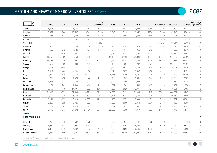#### <span id="page-11-0"></span>**MEDIUM AND HEAVY COMMERCIAL VEHICLES** <sup>5</sup> BY AGE

|                      | 2020     | 2019     | 2018                     | 2017                     | 2016<br>$(5$ years)      | 2015              | 2014                     | 2013                     | 2012                     | 2011<br>$(5-10 \text{ years})$ | >10 years         | Total     | Average age<br>(in years) |
|----------------------|----------|----------|--------------------------|--------------------------|--------------------------|-------------------|--------------------------|--------------------------|--------------------------|--------------------------------|-------------------|-----------|---------------------------|
| Austria              | 5,081    | 7,045    | 6,770                    | 6,347                    | 5,837                    | 4,842             | 4,574                    | 4,036                    | 3,356                    | 3,306                          | 22,187            | 73,381    | 7.0                       |
| Belgium              | 7,427    | 11,260   | 10,507                   | 9,546                    | 8,936                    | 7,640             | 6,956                    | 5,843                    | 5,974                    | 5,684                          | 67,243            | 147,016   | 16.0                      |
| Croatia              | 656      | 1,442    | 1,463                    | 1,550                    | 1,910                    | 2,098             | 1,903                    | 1,663                    | 1,586                    | 1,870                          | 32,045            | 48,186    | 14.5                      |
| Cyprus               | 84       | 117      | 132                      | 95                       | 80                       |                   | $\equiv$                 | $\overline{\phantom{a}}$ | $\overline{\phantom{a}}$ | (1,468)                        | 11,353            | 13,329    | $\overline{\phantom{a}}$  |
| Czech Republic       | $\equiv$ | $\equiv$ | $\overline{\phantom{a}}$ | $\sim$                   | (44, 412)                | $\equiv$          | $\equiv$                 | ٠                        |                          | (31, 876)                      | 109,314           | 185,602   | 17.6                      |
| Denmark              | 3,363    | 4,452    | 4,248                    | 4,069                    | 3,986                    | 3,180             | 2,289                    | 2,324                    | 1,586                    | 1,254                          | 11,510            | 42,261    | 10.1                      |
| Estonia              | 522      | 1,042    | 1,120                    | 1,191                    | 1,034                    | 947               | 947                      | 965                      | 1,048                    | 995                            | 30,295            | 40,106    | 17.6                      |
| Finland              | 3,258    | 3,950    | 3,851                    | 3,427                    | 3,412                    | 3,023             | 3,155                    | 3,732                    | 3,336                    | 3,423                          | 60,124            | 94,691    | 14.3                      |
| France               | 58,195   | 54,182   | 50,168                   | 46,155                   | 38,128                   | 32,108            | 32,108                   | 29,098                   | 28,094                   | 18,061                         | 216,727           | 603,023   | $9.0$                     |
| Germany              | 46,831   | 57,726   | 54,051                   | 45,977                   | 39,695                   | 33,425            | 27,344                   | 23,349                   | 19,696                   | 18,016                         | 175,311           | 541,421   | 9.6                       |
| Greece               | 559      | 422      | 338                      | 435                      | 273                      | 427               | 327                      | 247                      | 79                       | 237                            | 221,872           | 225,216   | 21.4                      |
| Hungary              | 3,257    | 5,385    | 6,437                    | 5,412                    | 4,312                    | 4,556             | 3,624                    | 3,705                    | 3,375                    | 3,595                          | 50,648            | 94,306    | 12.6                      |
| Ireland              | 1,964    | 2,264    | 2,245                    | 2,312                    | 3,002                    | 2,519             | 2,519                    | 3,062                    | 2,462                    | 2,169                          | 22,755            | 47,273    | 10.6                      |
| Italy                | 19,024   | 28,428   | 30,749                   | 29,901                   | 29,355                   | 19,375            | 15,390                   | 16,191                   | 16,224                   | 22,469                         | 722,890           | 949,996   | 18.5                      |
| Latvia               | 728      | 1,210    | 1,573                    | 1,372                    | 1,524                    | 952               | 841                      | 1,086                    | 1,147                    | 1,112                          | 10,968            | 22,513    | 9.9                       |
| Lithuania            | 4,016    | 6,873    | 7,729                    | 5,092                    | 4,825                    | 3,009             | 1,966                    | 3,093                    | 2,273                    | 2,347                          | 28,557            | 69,780    | 10.7                      |
| Luxembourg           | 1,261    | 1,743    | 1,593                    | 1,464                    | 1,226                    | 821               | 701                      | 548                      | 462                      | 534                            | 3,431             | 13,784    | 6.7                       |
| <b>Netherlands</b>   | 9,599    | 14,140   | 14,301                   | 13,290                   | 13,930                   | 11,869            | 8,620                    | 8,971                    | 7,181                    | 6,476                          | 49,261            | 157,638   | 9.8                       |
| Poland               | 21,416   | 30,525   | 32,594                   | 30,991                   | 32,590                   | 30,568            | 27,132                   | 31,464                   | 31,769                   | 35,421                         | 880,207           | 1,184,677 | 13.2                      |
| Portugal             | 3,599    | 5,338    | 5,133                    | 5,602                    | 4,978                    | 4,596             | 4,241                    | 3,549                    | 3,096                    | 4,016                          | 89,852            | 134,000   | 15.1                      |
| Romania              | 2,291    | 6,133    | 5,928                    | 6,858                    | 11,510                   | 15,366            | 10,572                   | 12,009                   | 8,451                    | 8,056                          | 259,737           | 346,911   | 16.8                      |
| Slovakia             | 2,209    | 4,008    | 5,025                    | 4,599                    | 4,543                    | 3,666             | 3,060                    | 2,818                    | 2,574                    | 2,430                          | 45,126            | 80,058    | 13.4                      |
| Slovenia             | 1,417    | 2,485    | 2.970                    | 2,891                    | 3,260                    | 3,072             | 2,812                    | 1,681                    | 1,404                    | 1,552                          | 14,130            | 37,674    | 9.8                       |
| Spain                | 18,696   | 24,047   | 24,202                   | 24,724                   | 25,334                   | 22,650            | 16,758                   | 14,319                   | 14,562                   | 17,076                         | 411,779           | 614,147   | 15.1                      |
| Sweden               |          | $\equiv$ | $\overline{\phantom{a}}$ | $\overline{\phantom{m}}$ | $\overline{\phantom{a}}$ | $\qquad \qquad -$ | $\overline{\phantom{0}}$ | $\overline{\phantom{m}}$ | $\equiv$                 | $\overline{\phantom{m}}$       | $\qquad \qquad -$ |           | $\overline{\phantom{m}}$  |
| <b>EUROPEANUNION</b> |          |          |                          |                          |                          |                   |                          |                          |                          |                                |                   |           | 13.9                      |
| Iceland              | 298      | 378      | 532                      | 576                      | 401                      | 290               | 261                      | 182                      | 175                      | 170                            | 5,225             | 8,488     | 16.8                      |
| Norway               | 5,979    | 7,415    | 7,051                    | 6,053                    | 5,673                    | 4,545             | 4,302                    | 4,287                    | 3,922                    | 3,239                          | 35,675            | 88,141    | 12.0                      |
| Switzerland          | 2,888    | 4,370    | 4,487                    | 4,647                    | 4,213                    | 4,067             | 4,328                    | 3,180                    | 3,118                    | 3,094                          | 22,839            | 61,231    | 8.4                       |
| United Kingdom       | 39,017   | 55,459   | 49,681                   | 50,691                   | 51,237                   | 46,494            | 35,280                   | 41,231                   | 30,343                   | 25,642                         | 302,838           | 727,913   | 9.8                       |

5. Data for Germany only includes semi-trailer and other trucks

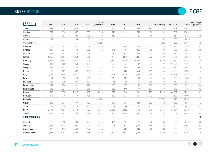

<span id="page-12-0"></span>

|                       | 2020                     | 2019                     | 2018                     | 2017                     | 2016<br>$(5$ years) | 2015                     | 2014           | 2013                     | 2012                     | 2011<br>$(5-10 \text{ years})$ | >10 years | Total   | Average age<br>(in years) |
|-----------------------|--------------------------|--------------------------|--------------------------|--------------------------|---------------------|--------------------------|----------------|--------------------------|--------------------------|--------------------------------|-----------|---------|---------------------------|
| Austria               | 866                      | 1,136                    | 1,095                    | 1,137                    | 922                 | 770                      | 645            | 525                      | 444                      | 329                            | 2,195     | 10,064  | 4.9                       |
| Belgium               | 797                      | 1,320                    | 1,057                    | 850                      | 715                 | 916                      | 1,125          | 742                      | 658                      | 702                            | 7,569     | 16,451  | 11.1                      |
| Croatia               | 97                       | 284                      | 232                      | 228                      | 199                 | 153                      | 148            | 180                      | 159                      | 161                            | 3,551     | 5,392   | 13.5                      |
| Cyprus                | 242                      | 15                       | 34                       | 33                       | 69                  | $\overline{\phantom{a}}$ | $\overline{a}$ | $\equiv$                 | $\equiv$                 | 207                            | 2,055     | 2,655   | $\overline{\phantom{a}}$  |
| Czech Republic        | $\overline{\phantom{a}}$ | J.                       |                          |                          | (5, 121)            | ÷,                       | L.             | L.                       |                          | (4, 452)                       | 10,088    | 19,661  | 14.6                      |
| Denmark               | 254                      | 542                      | 577                      | 839                      | 740                 | 553                      | 496            | 409                      | 542                      | 434                            | 3,160     | 8,546   | 10.5                      |
| Estonia               | 227                      | 231                      | 172                      | 225                      | 172                 | 241                      | 194            | 253                      | 175                      | 90                             | 3,255     | 5,235   | 13.6                      |
| Finland               | 244                      | 547                      | 419                      | 468                      | 541                 | 514                      | 655            | 442                      | 500                      | 393                            | 5,232     | 9,955   | 12.0                      |
| France                | 5,256                    | 4,867                    | 4,964                    | 5,256                    | 5,743               | 4,478                    | 4,672          | 4,088                    | 4,672                    | 3,699                          | 19,566    | 67,263  | 8.1                       |
| Germany               | 5,996                    | 5,685                    | 5,638                    | 5,594                    | 5,476               | 4,722                    | 4,310          | 4,259                    | 3,633                    | 3,465                          | 26,770    | 75,548  | 8.4                       |
| Greece                | 307                      | 360                      | 258                      | 180                      | 172                 | 96                       | 67             | 37                       | 21                       | 27                             | 26,671    | 28,196  | 19.4                      |
| Hungary               | 674                      | 811                      | 738                      | 772                      | 520                 | 602                      | 556            | 558                      | 225                      | 350                            | 11,152    | 16,958  | 12.6                      |
| Ireland               | 173                      | 501                      | 582                      | 491                      | 624                 | 528                      | 508            | 569                      | 651                      | 345                            | 6,958     | 11,930  | 11.7                      |
| Italy                 | 2,127                    | 4,809                    | 4,961                    | 4,021                    | 3,549               | 2,846                    | 2,330          | 2,832                    | 2,438                    | 3,235                          | 66,735    | 99,883  | 14.3                      |
| Latvia                | 54                       | 85                       | 124                      | 206                      | 173                 | 243                      | 181            | 193                      | 84                       | 206                            | 1,959     | 3,508   | 12.0                      |
| Lithuania             | 151                      | 236                      | 280                      | 121                      | 33                  | 31                       | 129            | 61                       | 60                       | 23                             | 1,717     | 2,842   | 14.4                      |
| Luxembourg            | 234                      | 256                      | 201                      | 221                      | 183                 | 235                      | 137            | 135                      | 116                      | 117                            | 286       | 2,121   | 5.4                       |
| Netherlands           | 642                      | 931                      | 574                      | 842                      | 834                 | 336                      | 598            | 517                      | 674                      | 484                            | 3,349     | 9,781   | 9.3                       |
| Poland                | 1,506                    | 2,350                    | 2,627                    | 2,189                    | 2,024               | 1,799                    | 1,796          | 1,701                    | 1,758                    | 2,114                          | 104,662   | 124,526 | 15.6                      |
| Portugal              | 410                      | 715                      | 660                      | 485                      | 458                 | 332                      | 311            | 271                      | 312                      | 444                            | 12,602    | 17,000  | 14.7                      |
| Romania               | $\overline{\phantom{a}}$ | $\overline{\phantom{a}}$ | $\overline{\phantom{a}}$ | $\overline{\phantom{a}}$ | (6,689)             |                          | $\equiv$       | $\overline{\phantom{a}}$ | $\overline{\phantom{0}}$ | (7, 508)                       | 39,973    | 54,170  | 18.1                      |
| Slovakia              | 266                      | 274                      | 309                      | 408                      | 324                 | 349                      | 393            | 238                      | 289                      | 332                            | 3,432     | 6,614   | 11.3                      |
| Slovenia              | 51                       | 154                      | 148                      | 162                      | 182                 | 152                      | 180            | 167                      | 133                      | 137                            | 946       | 2,412   | 10.1                      |
| Spain                 | 2,170                    | 3,481                    | 3,648                    | 3,795                    | 3,545               | 2,812                    | 2,002          | 1,760                    | 1,916                    | 2,796                          | 34,194    | 62,119  | 11.4                      |
| Sweden                | 1,456                    | 1,162                    | 739                      | 948                      | 1,082               | 1,154                    | 1,010          | 1,040                    | 1,139                    | 1,201                          | 2,558     | 13,489  | 6.5                       |
| <b>EUROPEANUNION</b>  |                          |                          |                          |                          |                     |                          |                |                          |                          |                                |           |         | 12.8                      |
| Iceland               | 26                       | 98                       | 138                      | 193                      | 276                 | 104                      | 104            | 76                       | 73                       | 36                             | 658       | 1,782   | 14.2                      |
| Norway                | 1,417                    | 2,334                    | 1,061                    | 1,212                    | 1,382               | 903                      | 947            | 1,075                    | 664                      | 776                            | 4,297     | 16,068  | 9.0                       |
| Switzerland           | 326                      | 611                      | 668                      | 682                      | 655                 | 725                      | 589            | 499                      | 433                      | 538                            | 2,853     | 8,579   | 7.9                       |
| <b>United Kingdom</b> | 1,845                    | 3,102                    | 3,628                    | 4,186                    | 4,840               | 4,642                    | 3,943          | 3,767                    | 3,727                    | 3,430                          | 42,391    | 79,501  | 11.4                      |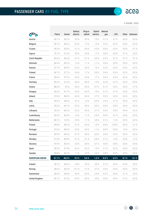

 $\rightarrow$ 

% SHARE | 2020

<span id="page-13-0"></span>

|                       | Petrol | Diesel              | <b>Battery</b><br>electric | Plug-in<br>hybrid | Hybrid<br>electric | Natural<br>gas | LPG       |       | Other Unknown |
|-----------------------|--------|---------------------|----------------------------|-------------------|--------------------|----------------|-----------|-------|---------------|
| Austria               | 43.1%  | 54.2 %              | 0.9%                       | 0.0%              | 1.6%               | 0.1%           | 0.1 %     | 0.0 % | $0.0 \%$      |
| Belgium               | 49.7%  | 46.2%               | 0.5%                       | 1.2%              | 1.5%               | 0.3%           | 0.2%      | 0.0%  | 0.3%          |
| Croatia               | 45.3%  | 53.9%               | 0.1%                       | 0.0%              | 0.3%               | 0.0 %          | 0.2%      | 0.0%  | 0.1%          |
| Cyprus                | 76.7%  | 21.4%               | 0.0%                       | 0.0 %             | 1.7%               | 0.0 %          | 0.0%      | 0.1%  | 0.0%          |
| <b>Czech Republic</b> | 62.6%  | 36.3%               | 0.1%                       | 0.1%              | 0.5%               | 0.2%           | 0.1%      | 0.1%  | 0.1%          |
| Denmark               | 66.4%  | 30.2%               | 1.2%                       | 1.1%              | 1.1%               | 0.0 %          | 0.0%      | 0.0%  | $0.0 \%$      |
| Estonia               | 57.7%  | 40.3%               | 0.2%                       | 0.0%              | 1.6%               | 0.3%           | 0.0%      | 0.0%  | $0.0 \%$      |
| Finland               | 69.7%  | 27.7%               | 0.4%                       | 1.7%              | 0.0 %              | 0.4%           | 0.0%      | 0.2%  | $0.0 \%$      |
| France                | 39.6%  | 57.2%               | 0.6%                       | 0.4%              | 1.7%               | 0.0%           | 0.4%      | 0.0%  | $0.0 \%$      |
| Germany               | 65.2%  | 31.2%               | 0.6%                       | 0.6%              | 1.5%               | 0.2%           | 0.7%      | 0.0%  | 0.0%          |
| Greece                | 88.0%  | 8.5%                | 0.0%                       | 0.0%              | 0.7%               | 0.1%           | 0.0%      | 0.0%  | 2.7%          |
| Hungary               | 65.3%  | 31.7%               | 0.3%                       | 0.3%              | 1.6%               | 0.1%           | 0.7%      | 0.0%  | 0.0 %         |
| Ireland               | 37.8%  | 58.0%               | 0.6%                       | 0.6%              | 2.7%               | 0.0%           | 0.0%      | 0.4%  | $0.0 \%$      |
| Italy                 | 45.5%  | 43.8%               | 0.1%                       | 1.4%              | 0.0%               | 2.5%           | 6.7%      | 0.0%  | $0.0 \%$      |
| Latvia                | 29.2 % | 64.7%               | 0.2%                       | 0.0%              | $0.0 \%$           | 0.0 %          | 5.8%      | 0.0%  | $0.0 \%$      |
| Lithuania             | 25.5%  | 69.2%               | 0.2%                       | 0.0%              | 2.1%               | 0.0 %          | 0.0%      | 0.4%  | 2.5%          |
| Luxembourg            | 42.9%  | 52.9%               | 1.0%                       | 1.1%              | 2.0%               | 0.0 %          | 0.1%      | 0.0%  | 0.0 %         |
| Netherlands           | 80.1%  | 12.5%               | 2.0%                       | 1.1%              | 3.0%               | 0.1%           | 1.2%      | 0.0%  | 0.0 %         |
| Poland                | 44.8%  | 40.2%               | $0.1 \%$                   | 0.0%              | 1.0%               | $0.0 \%$       | 13.8%     | 0.0%  | 0.1%          |
| Portugal              | 37.0%  | 59.9%               | 0.5%                       | 0.6%              | 1.1%               | 0.0%           | 0.0%      | 1.0%  | $0.0 \%$      |
| Romania               | 54.9%  | 44.5%               | 0.1%                       | 0.0%              | 0.3%               | 0.0 %          | 0.2%      | 0.0%  | 0.2%          |
| Slovakia              | 51.0%  | 44.8%               | 0.1%                       | 0.1%              | 0.8%               | 0.1 %          | 1.9%      | 0.0%  | 1.2%          |
| Slovenia              | 47.9%  | $50.3\ \mathrm{\%}$ | 0.3 %                      | 0.0 %             | 0.7 %              | $0.0\ \%$      | 0.8%      | 0.0 % | $0.0\ \%$     |
| Spain                 | 39.5%  | 57.9%               | 0.2%                       | 0.2%              | 1.9%               | 0.1%           | $0.2 \%$  | 0.0%  | $0.0\ \%$     |
| Sweden                | 53.8%  | 35.2%               | 1.1%                       | 2.5%              | 2.6%               | 0.8%           | $0.0 \%$  | 3.9%  | $0.0 \%$      |
| <b>EUROPEAN UNION</b> | 51.7%  | 42.8%               | 0.5%                       | 0.6 %             | 1.2%               | 0.5%           | 2.5%      | 0.1%  | 0.1%          |
| Iceland               | 54.7%  | 34.3 %              | 2.8%                       | 4.5%              | 3.0%               | 0.7%           | $0.0 \%$  | 0.0 % | 0.0 %         |
| Norway                | 34.6 % | 43.5%               | 12.1 %                     | 5.1%              | 4.7%               | 0.0 %          | 0.0 %     | 0.0 % | $0.0 \%$      |
| Switzerland           | 66.0%  | 29.8%               | 0.9%                       | 0.0%              | 2.9%               | 0.2%           | $0.0 \%$  | 0.1 % | $0.0 \%$      |
| <b>United Kingdom</b> | 59.1%  | 37.3%               | $0.5\ \%$                  | 0.6 %             | 2.0%               | $0.0\ \%$      | $0.0\ \%$ | 0.1 % | $0.3\ \%$     |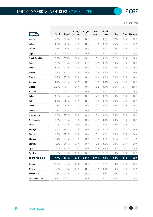

 $\rightarrow$ 

% SHARE | 2020

<span id="page-14-0"></span>

|                       |           |        | <b>Battery</b> | Plug-in  | Hybrid   | Natural |           |          |               |
|-----------------------|-----------|--------|----------------|----------|----------|---------|-----------|----------|---------------|
|                       | Petrol    | Diesel | electric       | hybrid   | electric | gas     | LPG       |          | Other Unknown |
| Austria               | 4.2%      | 94.8%  | 0.6%           | 0.0%     | 0.0 %    | 0.2%    | $0.2 \%$  | 0.0%     | $0.0 \%$      |
| Belgium               | 6.2%      | 91.2%  | $0.2 \%$       | 0.0%     | 0.0%     | 0.6%    | 1.5%      | 0.4%     | $0.0 \%$      |
| Croatia               | 3.8%      | 95.6%  | 0.0%           | 0.0%     | 0.0%     | 0.0%    | 0.5%      | 0.0%     | 0.1%          |
| Cyprus                | 5.0%      | 95.0%  | 0.0%           | 0.0%     | 0.0%     | 0.0%    | 0.0%      | 0.0%     | $0.0 \%$      |
| <b>Czech Republic</b> | 15.7%     | 83.5%  | 0.0%           | 0.0%     | 0.0%     | 0.6%    | 0.1%      | 0.1%     | $0.0 \%$      |
| Denmark               | 9.6%      | 89.5%  | 0.4%           | 0.1%     | 0.5%     | 0.0%    | 0.0%      | 0.0%     | 0.0 %         |
| Estonia               | 15.0%     | 84.6%  | 0.0%           | 0.0%     | 0.0%     | 0.4%    | 0.0%      | 0.0%     | 0.0 %         |
| Finland               | 2.8%      | 96.7%  | 0.1%           | 0.0%     | 0.0%     | 0.3%    | 0.0%      | 0.0%     | 0.0 %         |
| France                | 3.5%      | 95.3%  | 0.8%           | 0.0%     | 0.1%     | 0.3%    | 0.0%      | 0.0%     | $0.0 \%$      |
| Germany               | 5.0%      | 92.8%  | 1.1%           | 0.0%     | 0.0%     | 0.4%    | 0.6%      | 0.0%     | $0.0 \%$      |
| Greece                | 39.9%     | 40.0%  | 0.0%           | 0.0%     | 0.0%     | 0.1%    | 0.0%      | 0.0%     | 20.0%         |
| Hungary               | 3.6%      | 95.9%  | 0.1%           | 0.0%     | 0.0 %    | 0.1%    | 0.2%      | 0.0%     | $0.0 \%$      |
| Ireland               | 0.6%      | 98.4%  | 0.3%           | 0.0%     | 0.7%     | 0.0 %   | 0.0%      | 0.0%     | 0.0 %         |
| Italy                 | 5.0%      | 91.2%  | 0.1%           | 0.0%     | 0.0%     | 2.3%    | 1.4%      | 0.0%     | 0.0 %         |
| Latvia                | 2.8%      | 95.6%  | 0.1%           | 0.0%     | 0.0%     | 0.1%    | 1.4%      | 0.0%     | 0.0 %         |
| Lithuania             | 2.2%      | 97.1%  | 0.1%           | 0.0%     | 0.0%     | 0.0 %   | 0.0%      | 0.2%     | 0.5%          |
| Luxembourg            | 3.6%      | 95.2%  | 0.8%           | 0.0%     | 0.0%     | 0.1%    | 0.3%      | 0.0%     | 0.0 %         |
| Netherlands           | 3.2%      | 93.9%  | 0.6%           | 0.0%     | 0.0%     | 0.4%    | 1.9%      | 0.0%     | $0.0 \%$      |
| Poland                | 7.1%      | 87.7%  | 0.0%           | 0.0%     | 0.0%     | 0.1%    | 4.8%      | 0.0%     | 0.3 %         |
| Portugal              | 0.2%      | 99.7%  | 0.1%           | 0.0%     | 0.0%     | 0.0%    | 0.0%      | 0.0%     | 0.0 %         |
| Romania               | 9.6%      | 87.0%  | 0.0%           | 0.0%     | 0.0%     | 0.0%    | 0.0 %     | 0.0%     | 3.4%          |
| Slovakia              | 14.0%     | 83.2%  | 0.1%           | 0.0%     | 0.0%     | 0.2%    | 1.1%      | 0.0 %    | 1.5%          |
| Slovenia              | $4.5\,\%$ | 94.7%  | $0.0 \%$       | $0.0 \%$ | $0.0 \%$ | 0.6 %   | $0.0 \%$  | $0.2 \%$ | $0.0 \%$      |
| Spain                 | 5.1%      | 94.2%  | $0.2\ \%$      | 0.0%     | 0.1%     | 0.1%    | 0.3%      | 0.0%     | 0.0%          |
| Sweden                | 7.7%      | 89.4%  | 1.0%           | 0.0 %    | 0.0 %    | 1.5%    | $0.0\ \%$ | 0.4%     | $0.0 \%$      |
| <b>EUROPEAN UNION</b> | 6.2%      | 91.2%  | 0.4 %          | 0.01%    | 0.06%    | 0.6 %   | $0.8~\%$  | 0.0 %    | 0.8%          |
| Iceland               | 14.7%     | 83.1%  | 1.1%           | 0.0 %    | 0.0 %    | 1.0%    | $0.0 \%$  | 0.0 %    | $0.0 \%$      |
| Norway                | 4.5%      | 93.5%  | 1.9%           | 0.0 %    | 0.0%     | 0.1 %   | 0.0 %     | 0.0%     | $0.0 \%$      |
| Switzerland           | 14.3%     | 84.5%  | 0.5%           | 0.0 %    | 0.0 %    | 0.6%    | 0.0 %     | 0.0 %    | 0.1 %         |
| <b>United Kingdom</b> | 4.2%      | 95.3%  | $0.3 \%$       | 0.0%     | 0.1%     | 0.0 %   | $0.0\ \%$ | 0.0 %    | $0.0\ \%$     |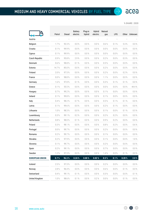

 $\leftrightarrow$ 

% SHARE | 2020

<span id="page-15-0"></span>

|                       | Petrol | Diesel | <b>Battery</b><br>electric | Plug-in<br>hybrid | Hybrid<br>electric | Natural<br>gas | LPG       |         | Other Unknown |
|-----------------------|--------|--------|----------------------------|-------------------|--------------------|----------------|-----------|---------|---------------|
| Austria               |        |        |                            |                   |                    |                |           |         |               |
| Belgium               | 1.7%   | 92.3%  | 0.0%                       | 0.0%              | 0.0%               | 0.6 %          | 0.1 %     | 5.3 %   | $0.0 \%$      |
| Croatia               | 0.1%   | 99.9%  | 0.0%                       | 0.0 %             | 0.0%               | $0.0 \%$       | 0.0%      | 0.0%    | $0.0 \%$      |
| Cyprus                | 0.1%   | 99.9%  | 0.0%                       | 0.0%              | 0.0%               | 0.0%           | $0.0\ \%$ | 0.0%    | $0.0 \%$      |
| <b>Czech Republic</b> | 0.9%   | 95.8%  | 2.9%                       | 0.0%              | 0.0%               | 0.2%           | 0.0 %     | 0.3%    | $0.0 \%$      |
| Denmark               | 0.6%   | 98.8%  | 0.1%                       | 0.0 %             | 0.0 %              | 0.5%           | $0.0 \%$  | 0.0%    | $0.0 \%$      |
| Estonia               | 14.7%  | 85.0%  | $0.0\%$                    | 0.0%              | 0.0%               | 0.2%           | $0.0 \%$  | 0.0%    | $0.0 \%$      |
| Finland               | 2.0%   | 97.5%  | 0.0%                       | 0.0%              | 0.0%               | 0.2%           | 0.0%      | 0.2%    | $0.0 \%$      |
| France                | 0.0%   | 98.8%  | 0.0%                       | 0.0 %             | 0.0%               | 1.1%           | 0.0%      | 0.0 %   | $0.0 \%$      |
| Germany               | 1.6%   | 97.8%  | 0.1%                       | 0.0%              | 0.0%               | 0.3%           | 0.1%      | 0.1%    | $0.0 \%$      |
| Greece                | 0.1%   | 55.5 % | 0.0%                       | 0.0%              | 0.0%               | $0.0 \%$       | 0.0%      | 0.0%    | 44.4 %        |
| Hungary               | 0.7%   | 99.2%  | 0.0%                       | 0.0%              | 0.0%               | 0.1%           | 0.0%      | 0.0%    | 0.0 %         |
| Ireland               | 0.1%   | 99.8%  | $0.0 \%$                   | 0.0 %             | 0.0%               | 0.1%           | $0.0 \%$  | 0.0 %   | $0.0 \%$      |
| Italy                 | 0.4%   | 98.2%  | 0.7%                       | 0.0%              | 0.0%               | 0.5%           | 0.1%      | 0.1%    | 0.0 %         |
| Latvia                | 0.1%   | 99.6%  | 0.0%                       | 0.0 %             | 0.0%               | 0.2%           | 0.1%      | 0.0 %   | 0.0 %         |
| Lithuania             | 1.0%   | 98.3%  | 0.0 %                      | 0.0 %             | 0.0 %              | 0.1%           | 0.0%      | 0.1%    | 0.5%          |
| Luxembourg            | 0.3%   | 99.1%  | 0.2%                       | 0.0 %             | 0.0 %              | 0.2%           | 0.2%      | 0.0 %   | $0.0 \%$      |
| Netherlands           | 0.8%   | 98.0%  | 0.1%                       | 0.0%              | 0.0%               | 0.9%           | 0.2%      | 0.0%    | $0.0 \%$      |
| Poland                | 0.3%   | 98.1%  | $0.0 \%$                   | 0.0%              | 0.0 %              | 0.8%           | 0.2%      | 0.0 %   | 0.6 %         |
| Portugal              | 0.0%   | 99.7%  | 0.0%                       | 0.0%              | 0.0%               | 0.2%           | 0.0%      | 0.0%    | $0.0 \%$      |
| Romania               | 0.2%   | 99.7%  | 0.0%                       | 0.0%              | 0.0%               | 0.1%           | $0.0 \%$  | 0.0%    | 0.0%          |
| Slovakia              | 0.2%   | 97.9%  | $0.0 \%$                   | 0.0 %             | 0.0%               | 0.1%           | $0.0 \%$  | 0.0 %   | 1.8%          |
| Slovenia              | 0.1%   | 99.7%  | $0.0 \%$                   | $0.0\%$           | $0.0\%$            | 0.2%           | $0.0 \%$  | $0.0\%$ | $0.0\%$       |
| Spain                 | 0.2%   | 99.1%  | $0.0 \%$                   | 0.0%              | 0.0%               | 0.7%           | 0.0%      | 0.0%    | $0.0\ \%$     |
| Sweden                | 1.2%   | 97.3%  | $0.0 \%$                   | $0.0 \%$          | 0.0 %              | 1.4%           | $0.0 \%$  | 0.1%    | $0.0 \%$      |
| <b>EUROPEAN UNION</b> | 0.7%   | 96.3%  | 0.24%                      | 0.00%             | 0.02%              | 0.5%           | 0.1%      | 0.20%   | 2.0%          |
| Iceland               | 2.5%   | 97.3%  | $0.0 \%$                   | 0.0 %             | 0.0 %              | 0.2%           | $0.0 \%$  | 0.0 %   | $0.0 \%$      |
| Norway                | 2.8%   | 96.4%  | $0.0 \%$                   | 0.0 %             | 0.0 %              | 0.6 %          | $0.0 \%$  | 0.1%    | $0.0 \%$      |
| Switzerland           | 0.4%   | 99.1%  | 0.1%                       | 0.0 %             | 0.0%               | 0.3 %          | $0.0 \%$  | 0.0 %   | 0.1 %         |
| <b>United Kingdom</b> | 1.0%   | 98.6%  | 0.1 %                      | $0.0\ \%$         | $0.2 \%$           | $0.0\ \%$      | $0.0 \%$  | 0.1%    | $0.0 \%$      |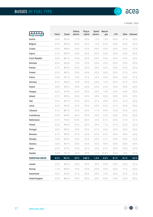

 $\rightarrow$ 

% SHARE | 2020

<span id="page-16-0"></span>

|                       | Petrol   | <b>Diesel</b> | <b>Battery</b><br>electric | Plug-in<br>hybrid | Hybrid<br>electric | Natural<br>gas | LPG      |          | Other Unknown |
|-----------------------|----------|---------------|----------------------------|-------------------|--------------------|----------------|----------|----------|---------------|
| Austria               | 0.0 %    | 95.3%         | 1.7%                       | 0.0 %             | 1.2%               | 1.6%           | $0.0 \%$ | 0.1%     | $0.0 \%$      |
| Belgium               | 0.7%     | 90.9%         | 0.4%                       | 0.0%              | 7.2%               | $0.2 \%$       | 0.0%     | 0.5%     | $0.0 \%$      |
| Croatia               | 0.0%     | 99.8%         | 0.0%                       | 0.0 %             | 0.0%               | 0.0%           | 0.0%     | 0.0 %    | 0.2%          |
| Cyprus                | 0.1%     | 99.9%         | 0.0 %                      | 0.0 %             | 0.0%               | $0.0 \%$       | 0.0%     | 0.0%     | $0.0 \%$      |
| <b>Czech Republic</b> | 0.0%     | 86.1%         | 0.4%                       | 0.0%              | 0.0%               | 9.3%           | 0.0%     | 0.3%     | 3.9%          |
| Denmark               | 0.3%     | 96.3%         | 1.0%                       | 0.3%              | 0.0%               | 2.0%           | 0.0 %    | 0.0%     | $0.0 \%$      |
| Estonia               | 4.1%     | 89.4%         | 0.0%                       | 0.0%              | 0.8%               | 5.6%           | 0.0%     | 0.0%     | $0.0 \%$      |
| Finland               | 0.2%     | 98.2%         | 0.9%                       | 0.0%              | 0.0%               | 0.6%           | $0.0 \%$ | 0.1%     | 0.0%          |
| France                | 0.0%     | 92.1%         | 1.0%                       | 0.1%              | 2.3%               | 4.4%           | 0.0%     | 0.0%     | 0.1%          |
| Germany               | 0.1%     | 94.6%         | 1.0%                       | 0.0%              | 3.0%               | 1.2%           | 0.0%     | 0.1%     | 0.0%          |
| Greece                | 0.0%     | 96.5%         | 0.0%                       | 0.0%              | 0.0%               | 3.4%           | $0.0 \%$ | 0.0%     | $0.0 \%$      |
| Hungary               | 0.3%     | 97.3%         | 0.3%                       | 0.0%              | 0.5%               | 1.4%           | 0.2%     | 0.0%     | 0.0%          |
| Ireland               | 0.1%     | 99.9%         | $0.0 \%$                   | 0.0 %             | 0.0 %              | 0.0 %          | $0.0 \%$ | 0.0 %    | $0.0 \%$      |
| Italy                 | 0.4%     | 93.7%         | 0.5%                       | 0.0%              | 0.1%               | 4.8%           | 0.3%     | 0.1%     | $0.0 \%$      |
| Latvia                | 0.2%     | 99.3%         | 0.2%                       | 0.0%              | 0.0%               | 0.2%           | 0.1%     | 0.0%     | 0.0%          |
| Lithuania             | 0.1%     | 88.7%         | 5.3 %                      | 0.0%              | 1.1%               | 0.9%           | 3.4%     | 0.2%     | 0.3%          |
| Luxembourg            | 0.0%     | 84.9%         | 6.6 %                      | 0.0 %             | 5.9%               | 2.5%           | 0.0 %    | 0.0%     | $0.0 \%$      |
| Netherlands           | 0.1%     | 79.0%         | 12.4%                      | 0.0 %             | 2.2%               | 6.1%           | 0.0%     | 0.1%     | 0.1%          |
| Poland                | 0.3%     | 96.9%         | 0.5%                       | 0.0%              | 0.6%               | 1.1%           | 0.1%     | 0.2%     | 0.3%          |
| Portugal              | 0.0 %    | 95.6%         | 0.5%                       | 0.0%              | 0.1%               | 3.6 %          | $0.0 \%$ | 0.0%     | $0.0 \%$      |
| Romania               | 0.1%     | 99.4%         | 0.1%                       | 0.0%              | 0.3%               | 0.2%           | 0.0 %    | 0.0%     | $0.0 \%$      |
| Slovakia              | 0.4%     | 93.6%         | 0.6%                       | 0.0%              | 0.0%               | 3.1%           | $0.0 \%$ | 0.0%     | 2.2%          |
| Slovenia              | $0.0 \%$ | 94.7%         | 0.3%                       | $0.0 \%$          | 0.2%               | 4.8%           | $0.0 \%$ | $0.0 \%$ | $0.0 \%$      |
| Spain                 | 0.2%     | 91.9%         | 0.3%                       | 0.2%              | 2.3%               | 5.1%           | 0.0%     | 0.0%     | 0.0 %         |
| Sweden                | 0.3 %    | 73.1 %        | $3.5\,\%$                  | $0.0\ \%$         | 1.1%               | 21.0%          | $0.0 \%$ | 1.0%     | $0.0 \%$      |
| <b>EUROPEAN UNION</b> | 0.2%     | 93.5%         | 0.9 %                      | 0.03%             | 1.4%               | 3.5%           | 0.1 %    | 0.1%     | 0.2 %         |
| Iceland               | 2.3%     | 96.2%         | 0.8%                       | 0.0 %             | 0.0 %              | 0.4%           | $0.0 \%$ | 0.0 %    | $0.2\ \%$     |
| Norway                | 1.1%     | 90.9%         | 2.9%                       | 0.0 %             | 0.0 %              | 5.0%           | $0.0 \%$ | 0.1%     | $0.0 \%$      |
| Switzerland           | 0.5%     | 92.9%         | 0.7%                       | $0.0 \%$          | 3.9%               | 1.6%           | $0.0 \%$ | 0.2%     | 0.2%          |
| <b>United Kingdom</b> | 0.2%     | 98.3%         | 0.9%                       | $0.0\ \%$         | 0.0 %              | $0.0\ \%$      | $0.0 \%$ | 0.5%     | $0.0 \%$      |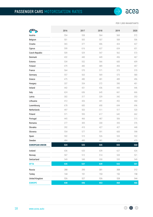PER 1,000 INHABITANTS

<span id="page-17-0"></span>

|                       | 2016 | 2017 | 2018 | 2019 | 2020 |
|-----------------------|------|------|------|------|------|
| Austria               | 554  | 558  | 564  | 569  | 572  |
| Belgium               | 501  | 505  | 507  | 508  | 506  |
| Croatia               | 365  | 377  | 406  | 424  | 427  |
| Cyprus                | 599  | 616  | 637  | 654  | 651  |
| Czech Republic        | 509  | 529  | 547  | 562  | 573  |
| Denmark               | 432  | 440  | 449  | 456  | 467  |
| Estonia               | 534  | 552  | 566  | 600  | 609  |
| Finland               | 479  | 485  | 489  | 493  | 497  |
| France                | 564  | 570  | 571  | 573  | 570  |
| Germany               | 557  | 563  | 569  | 575  | 580  |
| Greece                | 475  | 480  | 481  | 489  | 496  |
| Hungary               | 337  | 354  | 372  | 390  | 401  |
| Ireland               | 442  | 431  | 436  | 443  | 446  |
| Italy                 | 624  | 636  | 645  | 661  | 666  |
| Latvia                | 302  | 317  | 329  | 342  | 353  |
| Lithuania             | 412  | 426  | 441  | 452  | 460  |
| Luxembourg            | 678  | 683  | 690  | 694  | 696  |
| Netherlands           | 497  | 503  | 511  | 517  | 520  |
| Poland                | 571  | 593  | 617  | 642  | 662  |
| Portugal              | 445  | 466  | 487  | 506  | 515  |
| Romania               | 277  | 305  | 330  | 355  | 376  |
| Slovakia              | 392  | 410  | 427  | 427  | 448  |
| Slovenia              | 554  | 577  | 591  | 600  | 598  |
| Spain                 | 502  | 515  | 526  | 533  | 532  |
| Sweden                | 484  | 485  | 481  | 478  | 479  |
| <b>EUROPEAN UNION</b> | 524  | 535  | 545  | 555  | 560  |
| Iceland               | 636  | 633  | 639  | 627  | 626  |
| Norway                | 507  | 512  | 514  | 520  | 521  |
| Switzerland           | 549  | 549  | 550  | 535  | 549  |
| <b>EFTA</b>           | 535  | 537  | 539  | 532  | 541  |
| Russia                | 288  | 293  | 301  | 308  | 312  |
| Turkey                | 144  | 151  | 153  | 152  | 158  |
| <b>United Kingdom</b> | 526  | 527  | 526  | 528  | 544  |
| <b>EUROPE</b>         | 438  | 446  | 453  | 460  | 466  |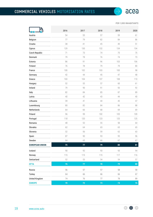PER 1,000 INHABITANTS

 $\rightarrow$ 

<span id="page-18-0"></span>

| 5                     |            |            |      |            |        |
|-----------------------|------------|------------|------|------------|--------|
|                       | 2016       | 2017       | 2018 | 2019       | 2020   |
| Austria               | 54         | 55         | 57   | 59         | 61     |
| Belgium               | 77         | 79         | 82   | 84         | 86     |
| Croatia               | 38         | 41         | 45   | 49         | 51     |
| Cyprus                | 129        | 130        | 132  | 134        | 134    |
| Czech Republic        | 71         | 73         | 74   | 75         | 75     |
| Denmark               | 79         | 78         | 76   | 74         | 73     |
| Estonia               | 86         | 91         | 96   | 103        | 106    |
| Finland               | 76         | 78         | 79   | 79         | 80     |
| France                | 100        | 102        | 103  | 100        | 98     |
| Germany               | 42         | 44         | 45   | 47         | $48\,$ |
| Greece                | 103        | 104        | 107  | 108        | 110    |
| Hungary               | 52         | 55         | 57   | 60         | 61     |
| Ireland               | 79         | 90         | 91   | 93         | 92     |
| Italy                 | 82         | 84         | 85   | 87         | 89     |
| Latvia                | 40         | 42         | 43   | 44         | $40\,$ |
| Lithuania             | 39         | 41         | 44   | $45\,$     | 47     |
| Luxembourg            | 80         | 82         | 84   | 86         | 88     |
| Netherlands           | 64         | 66         | 68   | 69         | 69     |
| Poland                | 96         | 99         | 102  | 105        | 109    |
| Portugal              | 118        | 120        | 123  | 125        | 125    |
| Romania               | 48         | 52         | 55   | 58         | 64     |
| Slovakia              | 62         | 64         | 65   | 65         | 65     |
| Slovenia              | 52         | 56         | 59   | 62         | 63     |
| Spain                 | 87         | 90         | 93   | 95         | 96     |
| Sweden                | 64         | 65         | 66   | 67         | 67     |
| <b>EUROPEAN UNION</b> | 75         | 77         | 79   | ${\bf 80}$ | 81     |
| Iceland               | $90\,$     | 92         | 93   | 93         | 94     |
| Norway                | 115        | 115        | 115  | 117        | 116    |
| Switzerland           | 52         | 53         | 54   | 54         | 57     |
| <b>EFTA</b>           | 76         | 77         | 78   | 79         | 80     |
| Russia                | 56         | 57         | 57   | 58         | 58     |
| <b>Turkey</b>         | 64         | 66         | 66   | 66         | 67     |
| <b>United Kingdom</b> | 74         | 76         | 77   | 78         | 89     |
| <b>EUROPE</b>         | ${\bf 70}$ | ${\bf 72}$ | 73   | 74         | 76     |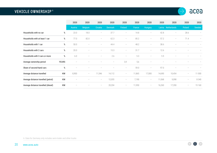#### <span id="page-19-0"></span>**VEHICLE OWNERSHIP** <sup>6</sup>



|                                     |       | 2020                                                                      | 2020                     | 2020                              | 2020              | 2020                     | 2020   | 2020                     | 2020   | 2020                     | 2020              | 2020                     |
|-------------------------------------|-------|---------------------------------------------------------------------------|--------------------------|-----------------------------------|-------------------|--------------------------|--------|--------------------------|--------|--------------------------|-------------------|--------------------------|
|                                     |       | Austria                                                                   | <b>Belgium</b>           | Croatia                           | <b>Denmark</b>    | Finland                  | France | <b>Hungary</b>           |        | Latvia Netherlands       | Poland            | Sweden                   |
| Households with no car              | $\%$  | 23.0                                                                      | 18.0                     | $\hspace{1.0cm} - \hspace{1.0cm}$ | 37.7              | $\overline{\phantom{m}}$ | 14.8   | $\overline{\phantom{m}}$ | 42.8   | $\overline{\phantom{m}}$ | 28.6              | $\overline{\phantom{a}}$ |
| Households with at least 1 car      | %     | 77.0                                                                      | 82.0                     | $\overline{\phantom{m}}$          | 62.3              | $\overline{\phantom{m}}$ | 85.2   | $\overline{\phantom{a}}$ | 57.2   | $\overline{\phantom{m}}$ | 71.4              | $\qquad \qquad -$        |
| Households with 1 car               | $\%$  | 50.0                                                                      |                          |                                   | 44.4              |                          | 48.2   |                          | 38.6   |                          |                   |                          |
| Households with 2 cars              | %     | 20.0                                                                      | $\overline{\phantom{0}}$ | $\overline{\phantom{a}}$          | 15.3              | $\overline{\phantom{a}}$ | 31.7   | $\overline{\phantom{m}}$ | 12.6   |                          |                   |                          |
| Households with 3 cars or more      | $\%$  | 6.0                                                                       |                          |                                   | 2.6               |                          | 5.3    | $\overline{\phantom{0}}$ | 5.9    |                          |                   |                          |
| Average ownership period            | YEARS |                                                                           |                          |                                   | $\qquad \qquad -$ | 3,9                      | 5,6    |                          |        |                          |                   |                          |
| Share of second-hand cars           | $\%$  | $\hspace{1.0cm} \rule{1.5cm}{0.15cm} \hspace{1.0cm} \rule{1.5cm}{0.15cm}$ |                          |                                   |                   | $\overline{\phantom{0}}$ | 59.0   | $\overline{\phantom{a}}$ | 97.0   |                          |                   |                          |
| Average distance travelled          | KM    | 8,900                                                                     | $\overline{\phantom{m}}$ | 11,546                            | 14,112            |                          | 11,865 | 17,000                   | 14,690 | 10,454                   |                   | 11 000                   |
| Average distance travelled (petrol) | KM    | $\hspace{1.0cm} \rule{1.5cm}{0.15cm} \hspace{1.0cm} \rule{1.5cm}{0.15cm}$ |                          | $\overline{\phantom{a}}$          | 12,055            | $\overline{\phantom{a}}$ | 7,190  | $\overline{\phantom{m}}$ | 11,068 | 9,098                    | $\qquad \qquad -$ | 8 3 4 0                  |
| Average distance travelled (diesel) | KM    |                                                                           |                          | $\hspace{0.1mm}-\hspace{0.1mm}$   | 20,204            | $\overline{\phantom{m}}$ | 11,950 | $\overline{\phantom{m}}$ | 16,260 | 17,350                   |                   | 15 160                   |

6. Data for Germany only includes semi-trailer and other trucks